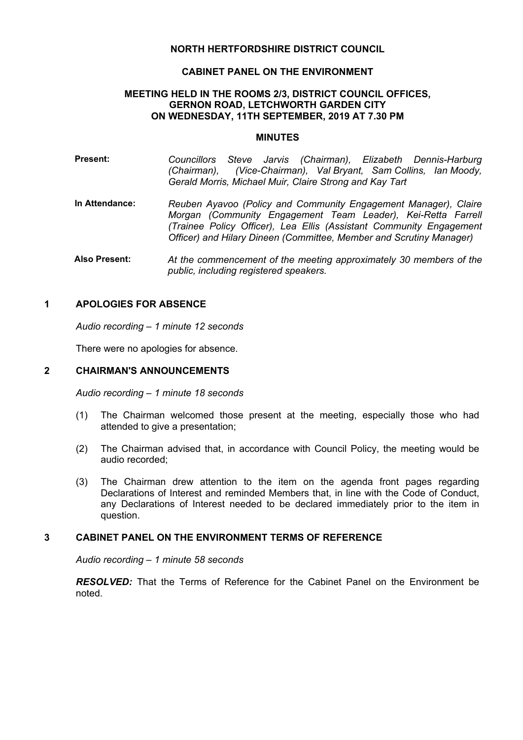# **NORTH HERTFORDSHIRE DISTRICT COUNCIL**

#### **CABINET PANEL ON THE ENVIRONMENT**

#### **MEETING HELD IN THE ROOMS 2/3, DISTRICT COUNCIL OFFICES, GERNON ROAD, LETCHWORTH GARDEN CITY ON WEDNESDAY, 11TH SEPTEMBER, 2019 AT 7.30 PM**

#### **MINUTES**

- **Present:** *Councillors Steve Jarvis (Chairman), Elizabeth Dennis-Harburg (Chairman), (Vice-Chairman), Val Bryant, Sam Collins, Ian Moody, Gerald Morris, Michael Muir, Claire Strong and Kay Tart*
- **In Attendance:** *Reuben Ayavoo (Policy and Community Engagement Manager), Claire Morgan (Community Engagement Team Leader), Kei-Retta Farrell (Trainee Policy Officer), Lea Ellis (Assistant Community Engagement Officer) and Hilary Dineen (Committee, Member and Scrutiny Manager)*
- **Also Present:** *At the commencement of the meeting approximately 30 members of the public, including registered speakers.*

## **1 APOLOGIES FOR ABSENCE**

*Audio recording – 1 minute 12 seconds*

There were no apologies for absence.

## **2 CHAIRMAN'S ANNOUNCEMENTS**

*Audio recording – 1 minute 18 seconds*

- (1) The Chairman welcomed those present at the meeting, especially those who had attended to give a presentation;
- (2) The Chairman advised that, in accordance with Council Policy, the meeting would be audio recorded;
- (3) The Chairman drew attention to the item on the agenda front pages regarding Declarations of Interest and reminded Members that, in line with the Code of Conduct, any Declarations of Interest needed to be declared immediately prior to the item in question.

## **3 CABINET PANEL ON THE ENVIRONMENT TERMS OF REFERENCE**

*Audio recording – 1 minute 58 seconds*

*RESOLVED:* That the Terms of Reference for the Cabinet Panel on the Environment be noted.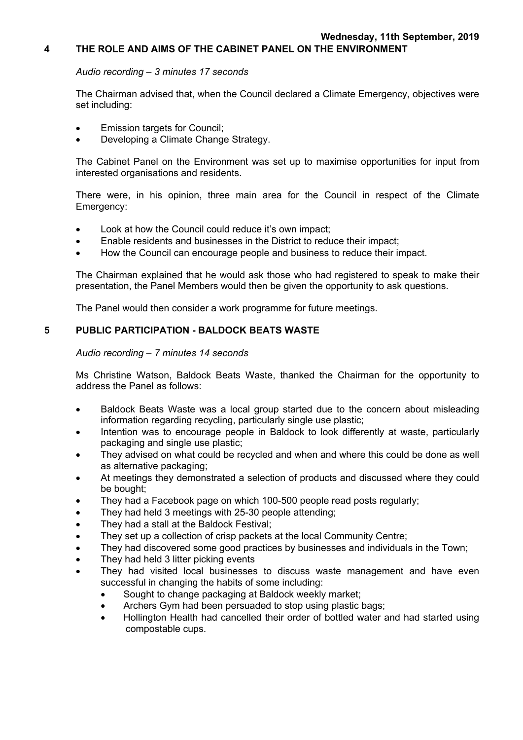# **4 THE ROLE AND AIMS OF THE CABINET PANEL ON THE ENVIRONMENT**

## *Audio recording – 3 minutes 17 seconds*

The Chairman advised that, when the Council declared a Climate Emergency, objectives were set including:

- Emission targets for Council;
- Developing a Climate Change Strategy.

The Cabinet Panel on the Environment was set up to maximise opportunities for input from interested organisations and residents.

There were, in his opinion, three main area for the Council in respect of the Climate Emergency:

- Look at how the Council could reduce it's own impact;
- Enable residents and businesses in the District to reduce their impact;
- How the Council can encourage people and business to reduce their impact.

The Chairman explained that he would ask those who had registered to speak to make their presentation, the Panel Members would then be given the opportunity to ask questions.

The Panel would then consider a work programme for future meetings.

# **5 PUBLIC PARTICIPATION - BALDOCK BEATS WASTE**

## *Audio recording – 7 minutes 14 seconds*

Ms Christine Watson, Baldock Beats Waste, thanked the Chairman for the opportunity to address the Panel as follows:

- Baldock Beats Waste was a local group started due to the concern about misleading information regarding recycling, particularly single use plastic;
- Intention was to encourage people in Baldock to look differently at waste, particularly packaging and single use plastic;
- They advised on what could be recycled and when and where this could be done as well as alternative packaging;
- At meetings they demonstrated a selection of products and discussed where they could be bought;
- They had a Facebook page on which 100-500 people read posts regularly;
- They had held 3 meetings with 25-30 people attending;
- They had a stall at the Baldock Festival;
- They set up a collection of crisp packets at the local Community Centre:
- They had discovered some good practices by businesses and individuals in the Town:
- They had held 3 litter picking events
- They had visited local businesses to discuss waste management and have even successful in changing the habits of some including:
	- Sought to change packaging at Baldock weekly market;
	- Archers Gym had been persuaded to stop using plastic bags;
	- Hollington Health had cancelled their order of bottled water and had started using compostable cups.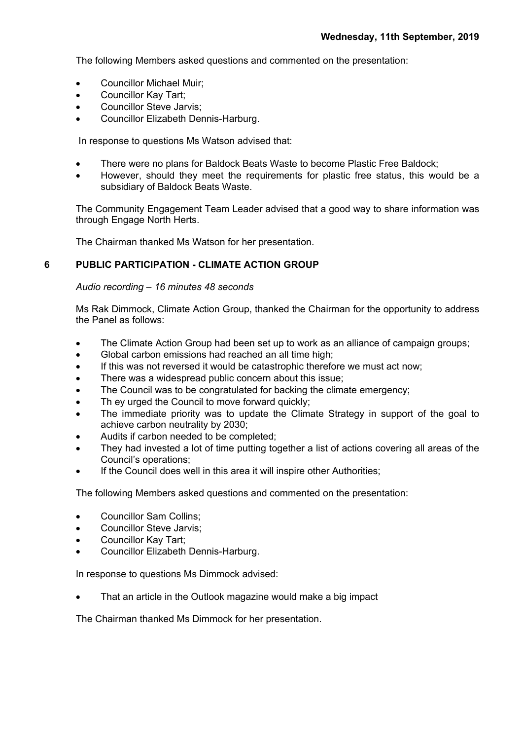The following Members asked questions and commented on the presentation:

- Councillor Michael Muir;
- Councillor Kay Tart;
- Councillor Steve Jarvis;
- Councillor Elizabeth Dennis-Harburg.

In response to questions Ms Watson advised that:

- There were no plans for Baldock Beats Waste to become Plastic Free Baldock;
- However, should they meet the requirements for plastic free status, this would be a subsidiary of Baldock Beats Waste.

The Community Engagement Team Leader advised that a good way to share information was through Engage North Herts.

The Chairman thanked Ms Watson for her presentation.

# **6 PUBLIC PARTICIPATION - CLIMATE ACTION GROUP**

#### *Audio recording – 16 minutes 48 seconds*

Ms Rak Dimmock, Climate Action Group, thanked the Chairman for the opportunity to address the Panel as follows:

- The Climate Action Group had been set up to work as an alliance of campaign groups;
- Global carbon emissions had reached an all time high:
- If this was not reversed it would be catastrophic therefore we must act now;
- There was a widespread public concern about this issue;
- The Council was to be congratulated for backing the climate emergency;
- Th ey urged the Council to move forward quickly;
- The immediate priority was to update the Climate Strategy in support of the goal to achieve carbon neutrality by 2030;
- Audits if carbon needed to be completed;
- They had invested a lot of time putting together a list of actions covering all areas of the Council's operations;
- If the Council does well in this area it will inspire other Authorities;

The following Members asked questions and commented on the presentation:

- Councillor Sam Collins:
- Councillor Steve Jarvis:
- Councillor Kay Tart;
- Councillor Elizabeth Dennis-Harburg.

In response to questions Ms Dimmock advised:

That an article in the Outlook magazine would make a big impact

The Chairman thanked Ms Dimmock for her presentation.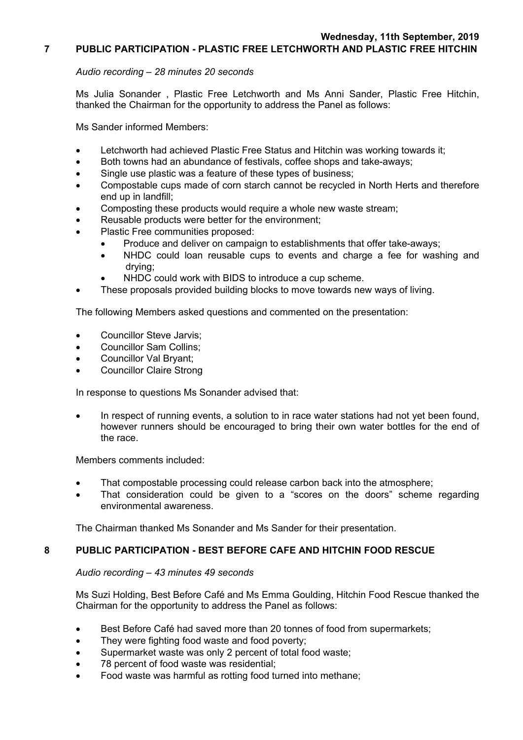## **7 PUBLIC PARTICIPATION - PLASTIC FREE LETCHWORTH AND PLASTIC FREE HITCHIN**

## *Audio recording – 28 minutes 20 seconds*

Ms Julia Sonander , Plastic Free Letchworth and Ms Anni Sander, Plastic Free Hitchin, thanked the Chairman for the opportunity to address the Panel as follows:

Ms Sander informed Members:

- Letchworth had achieved Plastic Free Status and Hitchin was working towards it;
- Both towns had an abundance of festivals, coffee shops and take-aways;
- Single use plastic was a feature of these types of business;
- Compostable cups made of corn starch cannot be recycled in North Herts and therefore end up in landfill;
- Composting these products would require a whole new waste stream;
- Reusable products were better for the environment;
- Plastic Free communities proposed:
	- Produce and deliver on campaign to establishments that offer take-aways;
	- NHDC could loan reusable cups to events and charge a fee for washing and drying;
	- NHDC could work with BIDS to introduce a cup scheme.
- These proposals provided building blocks to move towards new ways of living.

The following Members asked questions and commented on the presentation:

- Councillor Steve Jarvis;
- Councillor Sam Collins;
- Councillor Val Bryant;
- Councillor Claire Strong

In response to questions Ms Sonander advised that:

 In respect of running events, a solution to in race water stations had not yet been found, however runners should be encouraged to bring their own water bottles for the end of the race.

Members comments included:

- That compostable processing could release carbon back into the atmosphere;
- That consideration could be given to a "scores on the doors" scheme regarding environmental awareness.

The Chairman thanked Ms Sonander and Ms Sander for their presentation.

# **8 PUBLIC PARTICIPATION - BEST BEFORE CAFE AND HITCHIN FOOD RESCUE**

#### *Audio recording – 43 minutes 49 seconds*

Ms Suzi Holding, Best Before Café and Ms Emma Goulding, Hitchin Food Rescue thanked the Chairman for the opportunity to address the Panel as follows:

- Best Before Café had saved more than 20 tonnes of food from supermarkets;
- They were fighting food waste and food poverty;
- Supermarket waste was only 2 percent of total food waste;
- 78 percent of food waste was residential;
- Food waste was harmful as rotting food turned into methane;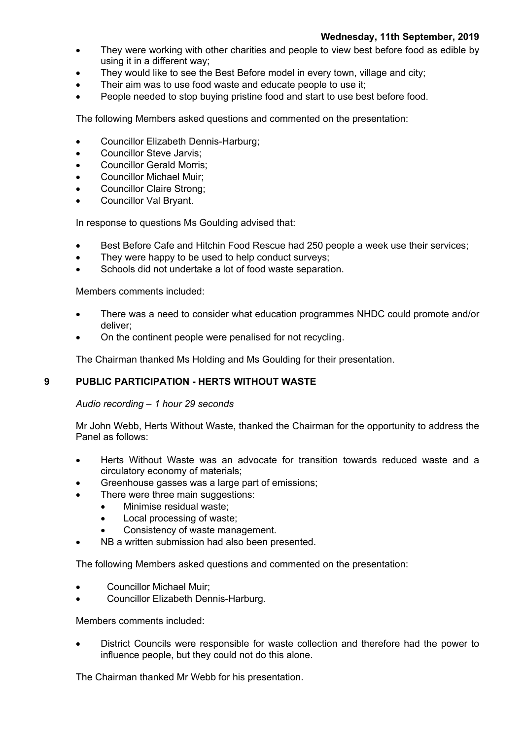- They were working with other charities and people to view best before food as edible by using it in a different way;
- They would like to see the Best Before model in every town, village and city;
- Their aim was to use food waste and educate people to use it;
- People needed to stop buying pristine food and start to use best before food.

The following Members asked questions and commented on the presentation:

- Councillor Elizabeth Dennis-Harburg;
- Councillor Steve Jarvis:
- Councillor Gerald Morris;
- Councillor Michael Muir;
- Councillor Claire Strong:
- Councillor Val Bryant.

In response to questions Ms Goulding advised that:

- Best Before Cafe and Hitchin Food Rescue had 250 people a week use their services;
- They were happy to be used to help conduct surveys;
- Schools did not undertake a lot of food waste separation.

Members comments included:

- There was a need to consider what education programmes NHDC could promote and/or deliver;
- On the continent people were penalised for not recycling.

The Chairman thanked Ms Holding and Ms Goulding for their presentation.

# **9 PUBLIC PARTICIPATION - HERTS WITHOUT WASTE**

# *Audio recording – 1 hour 29 seconds*

Mr John Webb, Herts Without Waste, thanked the Chairman for the opportunity to address the Panel as follows:

- Herts Without Waste was an advocate for transition towards reduced waste and a circulatory economy of materials;
- Greenhouse gasses was a large part of emissions;
- There were three main suggestions:
	- Minimise residual waste;
	- Local processing of waste;
	- Consistency of waste management.
- NB a written submission had also been presented.

The following Members asked questions and commented on the presentation:

- Councillor Michael Muir;
- Councillor Elizabeth Dennis-Harburg.

Members comments included:

 District Councils were responsible for waste collection and therefore had the power to influence people, but they could not do this alone.

The Chairman thanked Mr Webb for his presentation.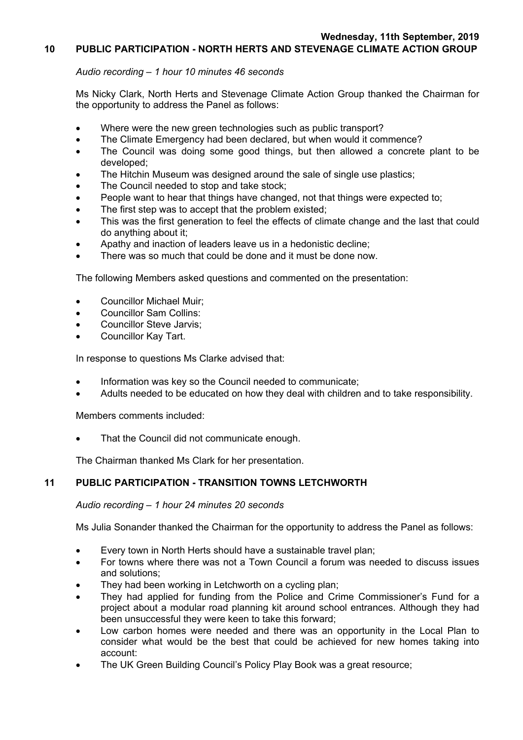# **10 PUBLIC PARTICIPATION - NORTH HERTS AND STEVENAGE CLIMATE ACTION GROUP**

## *Audio recording – 1 hour 10 minutes 46 seconds*

Ms Nicky Clark, North Herts and Stevenage Climate Action Group thanked the Chairman for the opportunity to address the Panel as follows:

- Where were the new green technologies such as public transport?
- The Climate Emergency had been declared, but when would it commence?
- The Council was doing some good things, but then allowed a concrete plant to be developed;
- The Hitchin Museum was designed around the sale of single use plastics;
- The Council needed to stop and take stock;
- People want to hear that things have changed, not that things were expected to;
- The first step was to accept that the problem existed;
- This was the first generation to feel the effects of climate change and the last that could do anything about it;
- Apathy and inaction of leaders leave us in a hedonistic decline;
- There was so much that could be done and it must be done now.

The following Members asked questions and commented on the presentation:

- Councillor Michael Muir:
- Councillor Sam Collins:
- Councillor Steve Jarvis;
- Councillor Kay Tart.

In response to questions Ms Clarke advised that:

- Information was key so the Council needed to communicate;
- Adults needed to be educated on how they deal with children and to take responsibility.

Members comments included:

That the Council did not communicate enough.

The Chairman thanked Ms Clark for her presentation.

# **11 PUBLIC PARTICIPATION - TRANSITION TOWNS LETCHWORTH**

#### *Audio recording – 1 hour 24 minutes 20 seconds*

Ms Julia Sonander thanked the Chairman for the opportunity to address the Panel as follows:

- Every town in North Herts should have a sustainable travel plan;
- For towns where there was not a Town Council a forum was needed to discuss issues and solutions;
- They had been working in Letchworth on a cycling plan;
- They had applied for funding from the Police and Crime Commissioner's Fund for a project about a modular road planning kit around school entrances. Although they had been unsuccessful they were keen to take this forward;
- Low carbon homes were needed and there was an opportunity in the Local Plan to consider what would be the best that could be achieved for new homes taking into account:
- The UK Green Building Council's Policy Play Book was a great resource;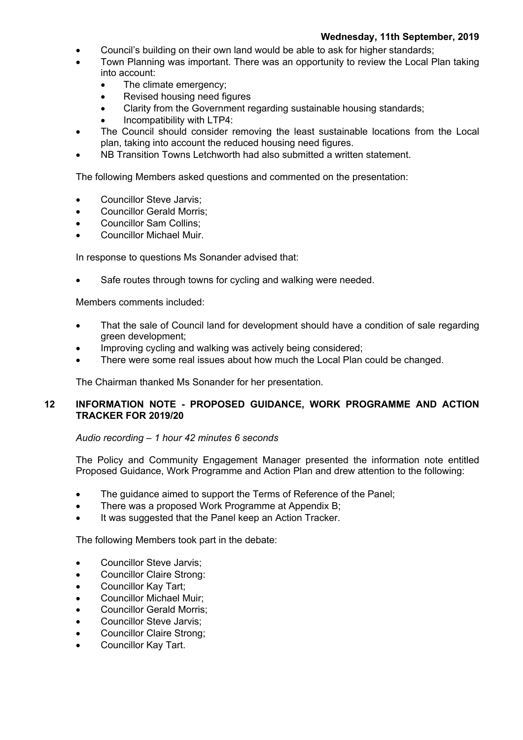- Council's building on their own land would be able to ask for higher standards;
- Town Planning was important. There was an opportunity to review the Local Plan taking into account:
	- The climate emergency;
	- Revised housing need figures
	- Clarity from the Government regarding sustainable housing standards;
	- Incompatibility with LTP4:
- The Council should consider removing the least sustainable locations from the Local plan, taking into account the reduced housing need figures.
- NB Transition Towns Letchworth had also submitted a written statement.

The following Members asked questions and commented on the presentation:

- Councillor Steve Jarvis;
- Councillor Gerald Morris;
- Councillor Sam Collins;
- Councillor Michael Muir.

In response to questions Ms Sonander advised that:

Safe routes through towns for cycling and walking were needed.

Members comments included:

- That the sale of Council land for development should have a condition of sale regarding green development;
- Improving cycling and walking was actively being considered;
- There were some real issues about how much the Local Plan could be changed.

The Chairman thanked Ms Sonander for her presentation.

# **12 INFORMATION NOTE - PROPOSED GUIDANCE, WORK PROGRAMME AND ACTION TRACKER FOR 2019/20**

#### *Audio recording – 1 hour 42 minutes 6 seconds*

The Policy and Community Engagement Manager presented the information note entitled Proposed Guidance, Work Programme and Action Plan and drew attention to the following:

- The guidance aimed to support the Terms of Reference of the Panel;
- There was a proposed Work Programme at Appendix B;
- It was suggested that the Panel keep an Action Tracker.

The following Members took part in the debate:

- Councillor Steve Jarvis;
- Councillor Claire Strong:
- Councillor Kay Tart;
- Councillor Michael Muir;
- Councillor Gerald Morris;
- Councillor Steve Jarvis;
- Councillor Claire Strong;
- Councillor Kay Tart.